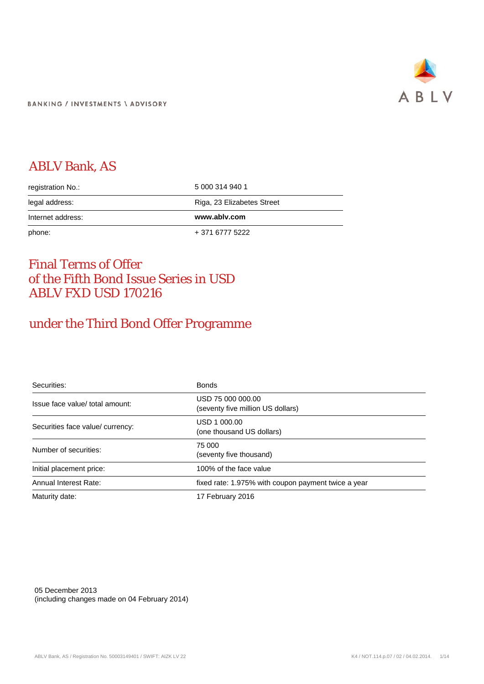

## ABLV Bank, AS

| registration No.: | 5 000 314 940 1            |  |
|-------------------|----------------------------|--|
| legal address:    | Riga, 23 Elizabetes Street |  |
| Internet address: | www.ablv.com               |  |
| phone:            | + 371 6777 5222            |  |

### Final Terms of Offer of the Fifth Bond Issue Series in USD ABLV FXD USD 170216

### under the Third Bond Offer Programme

| Securities:                      | <b>Bonds</b>                                           |
|----------------------------------|--------------------------------------------------------|
| Issue face value/ total amount:  | USD 75 000 000.00<br>(seventy five million US dollars) |
| Securities face value/ currency: | USD 1 000,00<br>(one thousand US dollars)              |
| Number of securities:            | 75 000<br>(seventy five thousand)                      |
| Initial placement price:         | 100% of the face value                                 |
| Annual Interest Rate:            | fixed rate: 1.975% with coupon payment twice a year    |
| Maturity date:                   | 17 February 2016                                       |

05 December 2013 (including changes made on 04 February 2014)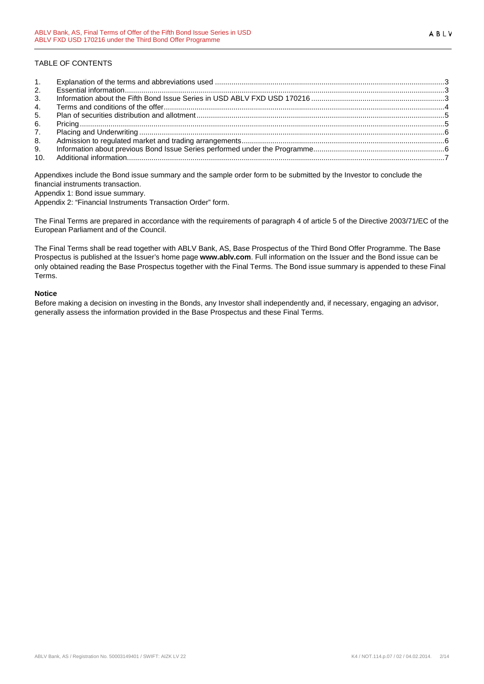#### TABLE OF CONTENTS

| 2. |  |
|----|--|
| 3. |  |
| 4. |  |
| 5. |  |
| 6. |  |
| 7. |  |
| 8. |  |
| 9. |  |
|    |  |

Appendixes include the Bond issue summary and the sample order form to be submitted by the Investor to conclude the financial instruments transaction.

Appendix 1: Bond issue summary.

Appendix 2: "Financial Instruments Transaction Order" form.

The Final Terms are prepared in accordance with the requirements of paragraph 4 of article 5 of the Directive 2003/71/EC of the European Parliament and of the Council.

The Final Terms shall be read together with ABLV Bank, AS, Base Prospectus of the Third Bond Offer Programme. The Base Prospectus is published at the Issuer's home page **www.ablv.com**. Full information on the Issuer and the Bond issue can be only obtained reading the Base Prospectus together with the Final Terms. The Bond issue summary is appended to these Final Terms.

#### **Notice**

Before making a decision on investing in the Bonds, any Investor shall independently and, if necessary, engaging an advisor, generally assess the information provided in the Base Prospectus and these Final Terms.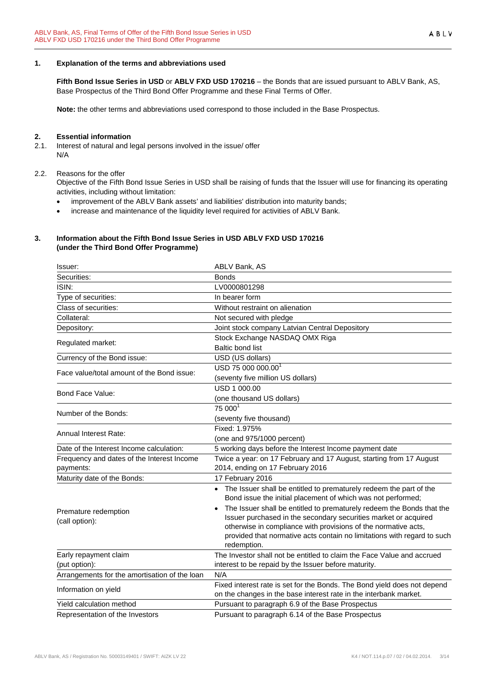#### <span id="page-2-0"></span>**1. Explanation of the terms and abbreviations used**

**Fifth Bond Issue Series in USD** or **ABLV FXD USD 170216** – the Bonds that are issued pursuant to ABLV Bank, AS, Base Prospectus of the Third Bond Offer Programme and these Final Terms of Offer.

**Note:** the other terms and abbreviations used correspond to those included in the Base Prospectus.

# <span id="page-2-1"></span>**2. Essential information**<br>**2.1.** Interest of natural and k

- Interest of natural and legal persons involved in the issue/ offer N/A
- 2.2. Reasons for the offer

Objective of the Fifth Bond Issue Series in USD shall be raising of funds that the Issuer will use for financing its operating activities, including without limitation:

- improvement of the ABLV Bank assets' and liabilities' distribution into maturity bands;
- increase and maintenance of the liquidity level required for activities of ABLV Bank.

#### <span id="page-2-2"></span>**3. Information about the Fifth Bond Issue Series in USD ABLV FXD USD 170216 (under the Third Bond Offer Programme)**

| Issuer:                                       | ABLV Bank, AS                                                                                                                                                                                                                                                                                        |
|-----------------------------------------------|------------------------------------------------------------------------------------------------------------------------------------------------------------------------------------------------------------------------------------------------------------------------------------------------------|
| Securities:                                   | <b>Bonds</b>                                                                                                                                                                                                                                                                                         |
| ISIN:                                         | LV0000801298                                                                                                                                                                                                                                                                                         |
| Type of securities:                           | In bearer form                                                                                                                                                                                                                                                                                       |
| Class of securities:                          | Without restraint on alienation                                                                                                                                                                                                                                                                      |
| Collateral:                                   | Not secured with pledge                                                                                                                                                                                                                                                                              |
| Depository:                                   | Joint stock company Latvian Central Depository                                                                                                                                                                                                                                                       |
|                                               | Stock Exchange NASDAQ OMX Riga                                                                                                                                                                                                                                                                       |
| Regulated market:                             | <b>Baltic bond list</b>                                                                                                                                                                                                                                                                              |
| Currency of the Bond issue:                   | USD (US dollars)                                                                                                                                                                                                                                                                                     |
|                                               | USD 75 000 000.00 <sup>1</sup>                                                                                                                                                                                                                                                                       |
| Face value/total amount of the Bond issue:    | (seventy five million US dollars)                                                                                                                                                                                                                                                                    |
| Bond Face Value:                              | USD 1 000.00                                                                                                                                                                                                                                                                                         |
|                                               | (one thousand US dollars)                                                                                                                                                                                                                                                                            |
| Number of the Bonds:                          | 75 000 <sup>1</sup>                                                                                                                                                                                                                                                                                  |
|                                               | (seventy five thousand)                                                                                                                                                                                                                                                                              |
| Annual Interest Rate:                         | Fixed: 1.975%                                                                                                                                                                                                                                                                                        |
|                                               | (one and 975/1000 percent)                                                                                                                                                                                                                                                                           |
| Date of the Interest Income calculation:      | 5 working days before the Interest Income payment date                                                                                                                                                                                                                                               |
| Frequency and dates of the Interest Income    | Twice a year: on 17 February and 17 August, starting from 17 August                                                                                                                                                                                                                                  |
| payments:                                     | 2014, ending on 17 February 2016                                                                                                                                                                                                                                                                     |
| Maturity date of the Bonds:                   | 17 February 2016                                                                                                                                                                                                                                                                                     |
|                                               | • The Issuer shall be entitled to prematurely redeem the part of the<br>Bond issue the initial placement of which was not performed;                                                                                                                                                                 |
| Premature redemption<br>(call option):        | The Issuer shall be entitled to prematurely redeem the Bonds that the<br>Issuer purchased in the secondary securities market or acquired<br>otherwise in compliance with provisions of the normative acts,<br>provided that normative acts contain no limitations with regard to such<br>redemption. |
| Early repayment claim                         | The Investor shall not be entitled to claim the Face Value and accrued                                                                                                                                                                                                                               |
| (put option):                                 | interest to be repaid by the Issuer before maturity.                                                                                                                                                                                                                                                 |
| Arrangements for the amortisation of the loan | N/A                                                                                                                                                                                                                                                                                                  |
| Information on yield                          | Fixed interest rate is set for the Bonds. The Bond yield does not depend<br>on the changes in the base interest rate in the interbank market.                                                                                                                                                        |
| Yield calculation method                      | Pursuant to paragraph 6.9 of the Base Prospectus                                                                                                                                                                                                                                                     |
| Representation of the Investors               | Pursuant to paragraph 6.14 of the Base Prospectus                                                                                                                                                                                                                                                    |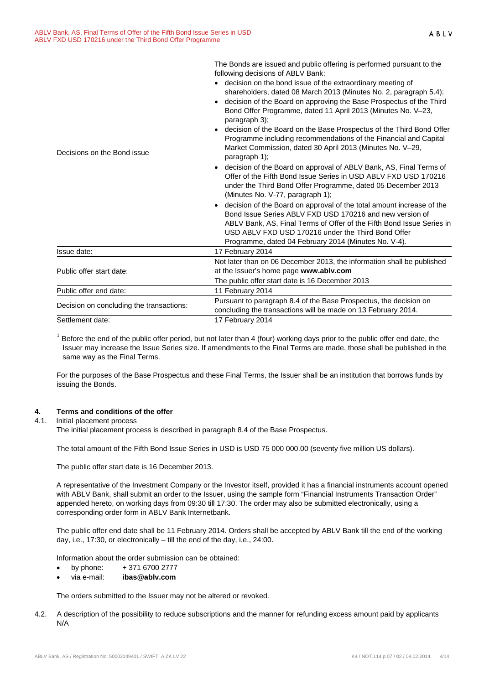|                                          | The Bonds are issued and public offering is performed pursuant to the<br>following decisions of ABLV Bank:                                                                                                                                                                                                                                                                                                                                                                                                                       |  |  |
|------------------------------------------|----------------------------------------------------------------------------------------------------------------------------------------------------------------------------------------------------------------------------------------------------------------------------------------------------------------------------------------------------------------------------------------------------------------------------------------------------------------------------------------------------------------------------------|--|--|
| Decisions on the Bond issue              | • decision on the bond issue of the extraordinary meeting of<br>shareholders, dated 08 March 2013 (Minutes No. 2, paragraph 5.4);<br>decision of the Board on approving the Base Prospectus of the Third<br>$\bullet$<br>Bond Offer Programme, dated 11 April 2013 (Minutes No. V-23,<br>paragraph 3);<br>decision of the Board on the Base Prospectus of the Third Bond Offer<br>Programme including recommendations of the Financial and Capital<br>Market Commission, dated 30 April 2013 (Minutes No. V-29,<br>paragraph 1); |  |  |
|                                          | decision of the Board on approval of ABLV Bank, AS, Final Terms of<br>Offer of the Fifth Bond Issue Series in USD ABLV FXD USD 170216<br>under the Third Bond Offer Programme, dated 05 December 2013<br>(Minutes No. V-77, paragraph 1);                                                                                                                                                                                                                                                                                        |  |  |
|                                          | • decision of the Board on approval of the total amount increase of the<br>Bond Issue Series ABLV FXD USD 170216 and new version of<br>ABLV Bank, AS, Final Terms of Offer of the Fifth Bond Issue Series in<br>USD ABLV FXD USD 170216 under the Third Bond Offer<br>Programme, dated 04 February 2014 (Minutes No. V-4).                                                                                                                                                                                                       |  |  |
| Issue date:                              | 17 February 2014                                                                                                                                                                                                                                                                                                                                                                                                                                                                                                                 |  |  |
| Public offer start date:                 | Not later than on 06 December 2013, the information shall be published<br>at the Issuer's home page www.ablv.com<br>The public offer start date is 16 December 2013                                                                                                                                                                                                                                                                                                                                                              |  |  |
| Public offer end date:                   | 11 February 2014                                                                                                                                                                                                                                                                                                                                                                                                                                                                                                                 |  |  |
| Decision on concluding the transactions: | Pursuant to paragraph 8.4 of the Base Prospectus, the decision on<br>concluding the transactions will be made on 13 February 2014.                                                                                                                                                                                                                                                                                                                                                                                               |  |  |
| Settlement date:                         | 17 February 2014                                                                                                                                                                                                                                                                                                                                                                                                                                                                                                                 |  |  |

 $1$  Before the end of the public offer period, but not later than 4 (four) working days prior to the public offer end date, the Issuer may increase the Issue Series size. If amendments to the Final Terms are made, those shall be published in the same way as the Final Terms.

For the purposes of the Base Prospectus and these Final Terms, the Issuer shall be an institution that borrows funds by issuing the Bonds.

#### <span id="page-3-0"></span>**4. Terms and conditions of the offer**

#### 4.1. Initial placement process

The initial placement process is described in paragraph 8.4 of the Base Prospectus.

The total amount of the Fifth Bond Issue Series in USD is USD 75 000 000.00 (seventy five million US dollars).

The public offer start date is 16 December 2013.

A representative of the Investment Company or the Investor itself, provided it has a financial instruments account opened with ABLV Bank, shall submit an order to the Issuer, using the sample form "Financial Instruments Transaction Order" appended hereto, on working days from 09:30 till 17:30. The order may also be submitted electronically, using a corresponding order form in ABLV Bank Internetbank.

The public offer end date shall be 11 February 2014. Orders shall be accepted by ABLV Bank till the end of the working day, i.e., 17:30, or electronically – till the end of the day, i.e., 24:00.

Information about the order submission can be obtained:

- by phone:  $+371\,6700\,2777$
- via e-mail: **ibas@ablv.com**

The orders submitted to the Issuer may not be altered or revoked.

4.2. A description of the possibility to reduce subscriptions and the manner for refunding excess amount paid by applicants N/A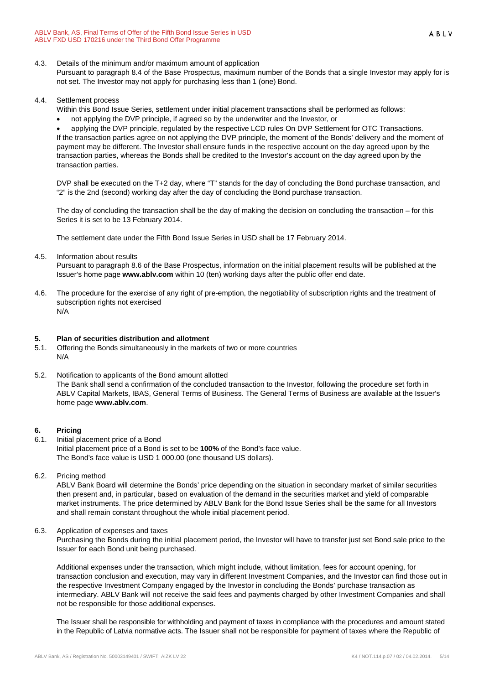4.3. Details of the minimum and/or maximum amount of application

Pursuant to paragraph 8.4 of the Base Prospectus, maximum number of the Bonds that a single Investor may apply for is not set. The Investor may not apply for purchasing less than 1 (one) Bond.

#### 4.4. Settlement process

- Within this Bond Issue Series, settlement under initial placement transactions shall be performed as follows:
- not applying the DVP principle, if agreed so by the underwriter and the Investor, or

• applying the DVP principle, regulated by the respective LCD rules On DVP Settlement for OTC Transactions. If the transaction parties agree on not applying the DVP principle, the moment of the Bonds' delivery and the moment of payment may be different. The Investor shall ensure funds in the respective account on the day agreed upon by the transaction parties, whereas the Bonds shall be credited to the Investor's account on the day agreed upon by the transaction parties.

DVP shall be executed on the T+2 day, where "T" stands for the day of concluding the Bond purchase transaction, and "2" is the 2nd (second) working day after the day of concluding the Bond purchase transaction.

The day of concluding the transaction shall be the day of making the decision on concluding the transaction – for this Series it is set to be 13 February 2014.

The settlement date under the Fifth Bond Issue Series in USD shall be 17 February 2014.

4.5. Information about results

Pursuant to paragraph 8.6 of the Base Prospectus, information on the initial placement results will be published at the Issuer's home page **www.ablv.com** within 10 (ten) working days after the public offer end date.

4.6. The procedure for the exercise of any right of pre-emption, the negotiability of subscription rights and the treatment of subscription rights not exercised N/A

#### <span id="page-4-0"></span>**5. Plan of securities distribution and allotment**

- 5.1. Offering the Bonds simultaneously in the markets of two or more countries N/A
- 5.2. Notification to applicants of the Bond amount allotted The Bank shall send a confirmation of the concluded transaction to the Investor, following the procedure set forth in ABLV Capital Markets, IBAS, General Terms of Business. The General Terms of Business are available at the Issuer's home page **[www.ablv.com](http://www.ablv.com/)**.

#### <span id="page-4-1"></span>**6. Pricing**

- 6.1. Initial placement price of a Bond Initial placement price of a Bond is set to be **100%** of the Bond's face value. The Bond's face value is USD 1 000.00 (one thousand US dollars).
- 6.2. Pricing method

ABLV Bank Board will determine the Bonds' price depending on the situation in secondary market of similar securities then present and, in particular, based on evaluation of the demand in the securities market and yield of comparable market instruments. The price determined by ABLV Bank for the Bond Issue Series shall be the same for all Investors and shall remain constant throughout the whole initial placement period.

6.3. Application of expenses and taxes

Purchasing the Bonds during the initial placement period, the Investor will have to transfer just set Bond sale price to the Issuer for each Bond unit being purchased.

Additional expenses under the transaction, which might include, without limitation, fees for account opening, for transaction conclusion and execution, may vary in different Investment Companies, and the Investor can find those out in the respective Investment Company engaged by the Investor in concluding the Bonds' purchase transaction as intermediary. ABLV Bank will not receive the said fees and payments charged by other Investment Companies and shall not be responsible for those additional expenses.

The Issuer shall be responsible for withholding and payment of taxes in compliance with the procedures and amount stated in the Republic of Latvia normative acts. The Issuer shall not be responsible for payment of taxes where the Republic of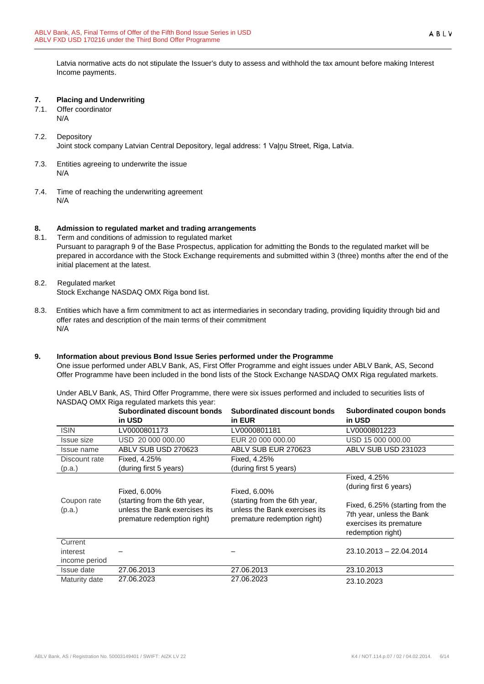Latvia normative acts do not stipulate the Issuer's duty to assess and withhold the tax amount before making Interest Income payments.

#### <span id="page-5-0"></span>**7. Placing and Underwriting**

- 7.1. Offer coordinator N/A
- 7.2. Depository Joint stock company Latvian Central Depository, legal address: 1 Vaļņu Street, Riga, Latvia.
- 7.3. Entities agreeing to underwrite the issue N/A
- 7.4. Time of reaching the underwriting agreement N/A

# <span id="page-5-1"></span>**8. Admission to regulated market and trading arrangements**

- Term and conditions of admission to regulated market Pursuant to paragraph 9 of the Base Prospectus, application for admitting the Bonds to the regulated market will be prepared in accordance with the Stock Exchange requirements and submitted within 3 (three) months after the end of the initial placement at the latest.
- 8.2. Regulated market Stock Exchange NASDAQ OMX Riga bond list.
- 8.3. Entities which have a firm commitment to act as intermediaries in secondary trading, providing liquidity through bid and offer rates and description of the main terms of their commitment N/A

#### <span id="page-5-2"></span>**9. Information about previous Bond Issue Series performed under the Programme**

One issue performed under ABLV Bank, AS, First Offer Programme and eight issues under ABLV Bank, AS, Second Offer Programme have been included in the bond lists of the Stock Exchange NASDAQ OMX Riga regulated markets.

Under ABLV Bank, AS, Third Offer Programme, there were six issues performed and included to securities lists of NASDAQ OMX Riga regulated markets this year:

|                       | Subordinated discount bonds<br>in USD                                                        | Subordinated discount bonds<br>in EUR                                                        | Subordinated coupon bonds<br>in USD                                                                          |
|-----------------------|----------------------------------------------------------------------------------------------|----------------------------------------------------------------------------------------------|--------------------------------------------------------------------------------------------------------------|
| <b>ISIN</b>           | LV0000801173                                                                                 | LV0000801181                                                                                 | LV0000801223                                                                                                 |
| <b>Issue size</b>     | USD 20 000 000.00                                                                            | EUR 20 000 000.00                                                                            | USD 15 000 000.00                                                                                            |
| Issue name            | ABLV SUB USD 270623                                                                          | ABLV SUB EUR 270623                                                                          | ABLV SUB USD 231023                                                                                          |
| Discount rate         | Fixed, 4.25%                                                                                 | Fixed, 4.25%                                                                                 |                                                                                                              |
| (p.a.)                | (during first 5 years)                                                                       | (during first 5 years)                                                                       |                                                                                                              |
|                       | Fixed, 6.00%                                                                                 | Fixed, 6.00%                                                                                 | Fixed, 4.25%<br>(during first 6 years)                                                                       |
| Coupon rate<br>(p.a.) | (starting from the 6th year,<br>unless the Bank exercises its<br>premature redemption right) | (starting from the 6th year,<br>unless the Bank exercises its<br>premature redemption right) | Fixed, 6.25% (starting from the<br>7th year, unless the Bank<br>exercises its premature<br>redemption right) |
| Current               |                                                                                              |                                                                                              |                                                                                                              |
| interest              |                                                                                              |                                                                                              | 23.10.2013 - 22.04.2014                                                                                      |
| income period         |                                                                                              |                                                                                              |                                                                                                              |
| Issue date            | 27.06.2013                                                                                   | 27.06.2013                                                                                   | 23.10.2013                                                                                                   |
| Maturity date         | 27.06.2023                                                                                   | 27.06.2023                                                                                   | 23.10.2023                                                                                                   |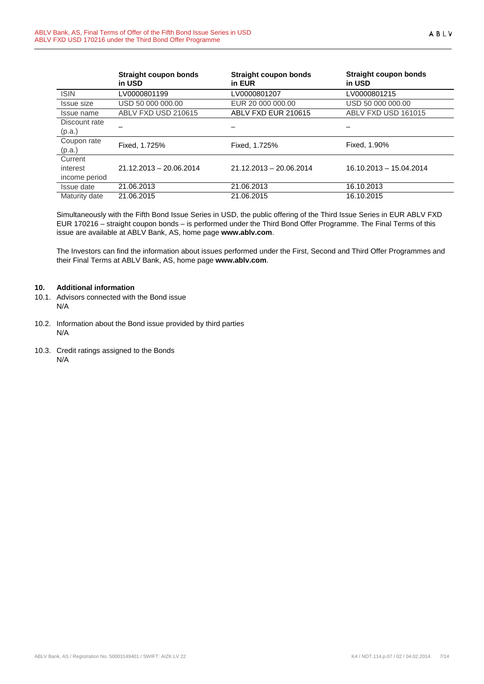|               | <b>Straight coupon bonds</b><br>in USD | <b>Straight coupon bonds</b><br>in EUR | Straight coupon bonds<br>in USD |  |
|---------------|----------------------------------------|----------------------------------------|---------------------------------|--|
| <b>ISIN</b>   | LV0000801199                           | LV0000801207                           | LV0000801215                    |  |
| Issue size    | USD 50 000 000.00                      | EUR 20 000 000,00                      | USD 50 000 000.00               |  |
| Issue name    | ABLV FXD USD 210615                    | ABLV FXD EUR 210615                    | ABLV FXD USD 161015             |  |
| Discount rate |                                        |                                        |                                 |  |
| (p.a.)        |                                        |                                        |                                 |  |
| Coupon rate   | Fixed, 1.725%                          | Fixed, 1.725%                          | Fixed, 1.90%                    |  |
| (p.a.)        |                                        |                                        |                                 |  |
| Current       |                                        |                                        |                                 |  |
| interest      | $21.12.2013 - 20.06.2014$              | $21.12.2013 - 20.06.2014$              | 16.10.2013 - 15.04.2014         |  |
| income period |                                        |                                        |                                 |  |
| Issue date    | 21.06.2013                             | 21.06.2013                             | 16.10.2013                      |  |
| Maturity date | 21.06.2015                             | 21.06.2015                             | 16.10.2015                      |  |

Simultaneously with the Fifth Bond Issue Series in USD, the public offering of the Third Issue Series in EUR ABLV FXD EUR 170216 – straight coupon bonds – is performed under the Third Bond Offer Programme. The Final Terms of this issue are available at ABLV Bank, AS, home page **[www.ablv.com](http://www.ablv.com/)**.

The Investors can find the information about issues performed under the First, Second and Third Offer Programmes and their Final Terms at ABLV Bank, AS, home page **[www.ablv.com](http://www.ablv.com/)**.

#### <span id="page-6-0"></span>**10. Additional information**

- 10.1. Advisors connected with the Bond issue N/A
- 10.2. Information about the Bond issue provided by third parties N/A
- 10.3. Credit ratings assigned to the Bonds N/A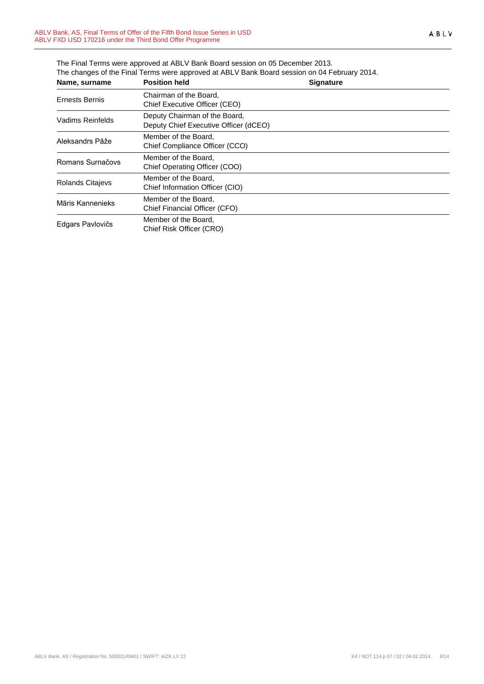| Name, surname           | <b>Position held</b>                                                   | <b>Signature</b> |  |
|-------------------------|------------------------------------------------------------------------|------------------|--|
| Ernests Bernis          | Chairman of the Board.<br>Chief Executive Officer (CEO)                |                  |  |
| Vadims Reinfelds        | Deputy Chairman of the Board,<br>Deputy Chief Executive Officer (dCEO) |                  |  |
| Aleksandrs Pāže         | Member of the Board,<br>Chief Compliance Officer (CCO)                 |                  |  |
| Romans Surnačovs        | Member of the Board.<br>Chief Operating Officer (COO)                  |                  |  |
| <b>Rolands Citajevs</b> | Member of the Board,<br>Chief Information Officer (CIO)                |                  |  |
| Māris Kannenieks        | Member of the Board,<br>Chief Financial Officer (CFO)                  |                  |  |
| Edgars Pavlovičs        | Member of the Board.<br>Chief Risk Officer (CRO)                       |                  |  |

The Final Terms were approved at ABLV Bank Board session on 05 December 2013. The changes of the Final Terms were approved at ABLV Bank Board session on 04 February 2014.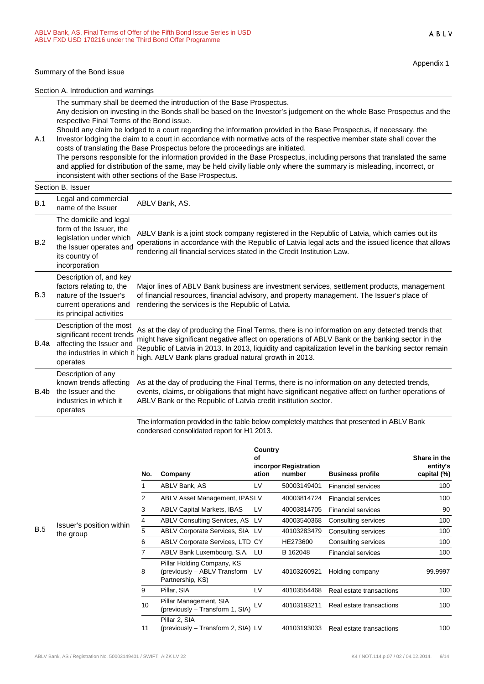#### Summary of the Bond issue

Section B. Issuer

Appendix 1

#### Section A. Introduction and warnings

The summary shall be deemed the introduction of the Base Prospectus. Any decision on investing in the Bonds shall be based on the Investor's judgement on the whole Base Prospectus and the respective Final Terms of the Bond issue.

A.1 Should any claim be lodged to a court regarding the information provided in the Base Prospectus, if necessary, the Investor lodging the claim to a court in accordance with normative acts of the respective member state shall cover the costs of translating the Base Prospectus before the proceedings are initiated. The persons responsible for the information provided in the Base Prospectus, including persons that translated the same and applied for distribution of the same, may be held civilly liable only where the summary is misleading, incorrect, or

inconsistent with other sections of the Base Prospectus.

#### B.1 Legal and commercial Legal and commercial ABLV Bank, AS.<br>name of the Issuer B.2 The domicile and legal form of the Issuer, the legislation under which regionation and the million operations in accordance with the Republic of Latvia legal acts and the issued licence that allows the Issuer operates and readering all financial carriers at the Credit leatitution Law its country of incorporation ABLV Bank is a joint stock company registered in the Republic of Latvia, which carries out its rendering all financial services stated in the Credit Institution Law. B.3 Description of, and key factors relating to, the nature of the Issuer's current operations and its principal activities Major lines of ABLV Bank business are investment services, settlement products, management of financial resources, financial advisory, and property management. The Issuer's place of rendering the services is the Republic of Latvia. B.4a affecting the Issuer and Description of the most significant recent trends the industries in which it operates As at the day of producing the Final Terms, there is no information on any detected trends that might have significant negative affect on operations of ABLV Bank or the banking sector in the Republic of Latvia in 2013. In 2013, liquidity and capitalization level in the banking sector remain high. ABLV Bank plans gradual natural growth in 2013. B.4b Description of any known trends affecting the Issuer and the industries in which it operates As at the day of producing the Final Terms, there is no information on any detected trends, events, claims, or obligations that might have significant negative affect on further operations of ABLV Bank or the Republic of Latvia credit institution sector.

The information provided in the table below completely matches that presented in ABLV Bank condensed consolidated report for H1 2013.

| No.            | Company                                                                           | Country<br>Οf<br>ation | incorpor Registration<br>number | <b>Business profile</b>   | Share in the<br>entity's<br>capital (%) |
|----------------|-----------------------------------------------------------------------------------|------------------------|---------------------------------|---------------------------|-----------------------------------------|
| 1              | ABLV Bank, AS                                                                     | LV                     | 50003149401                     | <b>Financial services</b> | 100                                     |
| $\overline{2}$ | <b>ABLV Asset Management, IPASLV</b>                                              |                        | 40003814724                     | <b>Financial services</b> | 100                                     |
| 3              | <b>ABLV Capital Markets, IBAS</b>                                                 | LV                     | 40003814705                     | <b>Financial services</b> | 90                                      |
| 4              | ABLV Consulting Services, AS LV                                                   |                        | 40003540368                     | Consulting services       | 100                                     |
| 5              | ABLV Corporate Services, SIA LV                                                   |                        | 40103283479                     | Consulting services       | 100                                     |
| 6              | <b>ABLV Corporate Services, LTD CY</b>                                            |                        | HE273600                        | Consulting services       | 100                                     |
| $\overline{7}$ | ABLV Bank Luxembourg, S.A. LU                                                     |                        | B 162048                        | <b>Financial services</b> | 100                                     |
| 8              | Pillar Holding Company, KS<br>(previously - ABLV Transform LV<br>Partnership, KS) |                        | 40103260921                     | Holding company           | 99.9997                                 |
| 9              | Pillar, SIA                                                                       | LV                     | 40103554468                     | Real estate transactions  | 100                                     |
| 10             | Pillar Management, SIA<br>(previously - Transform 1, SIA)                         | LV                     | 40103193211                     | Real estate transactions  | 100                                     |
| 11             | Pillar 2, SIA<br>(previously - Transform 2, SIA) LV                               |                        | 40103193033                     | Real estate transactions  | 100                                     |

**B.5** Issuer's position within the group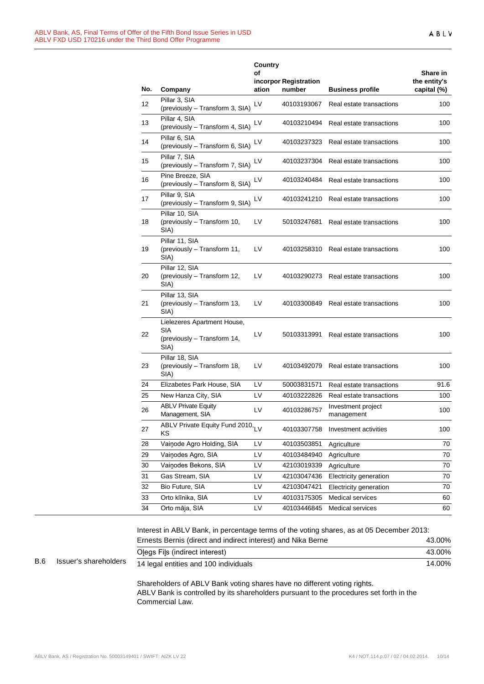| No. | Company                                                                   | Country<br>οf<br>ation | incorpor Registration<br>number | <b>Business profile</b>          | Share in<br>the entity's<br>capital (%) |
|-----|---------------------------------------------------------------------------|------------------------|---------------------------------|----------------------------------|-----------------------------------------|
| 12  | Pillar 3, SIA<br>(previously - Transform 3, SIA)                          | LV                     | 40103193067                     | Real estate transactions         | 100                                     |
| 13  | Pillar 4, SIA<br>(previously - Transform 4, SIA)                          | LV                     | 40103210494                     | Real estate transactions         | 100                                     |
| 14  | Pillar 6, SIA<br>(previously - Transform 6, SIA)                          | LV                     | 40103237323                     | Real estate transactions         | 100                                     |
| 15  | Pillar 7, SIA<br>(previously - Transform 7, SIA)                          | LV                     | 40103237304                     | Real estate transactions         | 100                                     |
| 16  | Pine Breeze, SIA<br>(previously - Transform 8, SIA)                       | LV                     | 40103240484                     | Real estate transactions         | 100                                     |
| 17  | Pillar 9, SIA<br>(previously - Transform 9, SIA)                          | LV                     | 40103241210                     | Real estate transactions         | 100                                     |
| 18  | Pillar 10, SIA<br>(previously - Transform 10,<br>SIA)                     | LV                     | 50103247681                     | Real estate transactions         | 100                                     |
| 19  | Pillar 11, SIA<br>(previously - Transform 11,<br>SIA)                     | LV                     | 40103258310                     | Real estate transactions         | 100                                     |
| 20  | Pillar 12, SIA<br>(previously - Transform 12,<br>SIA)                     | LV                     | 40103290273                     | Real estate transactions         | 100                                     |
| 21  | Pillar 13, SIA<br>(previously - Transform 13,<br>SIA)                     | LV                     | 40103300849                     | Real estate transactions         | 100                                     |
| 22  | Lielezeres Apartment House,<br>SIA<br>(previously - Transform 14,<br>SIA) | LV                     | 50103313991                     | Real estate transactions         | 100                                     |
| 23  | Pillar 18, SIA<br>(previously - Transform 18,<br>SIA)                     | LV                     | 40103492079                     | Real estate transactions         | 100                                     |
| 24  | Elizabetes Park House, SIA                                                | LV                     | 50003831571                     | Real estate transactions         | 91.6                                    |
| 25  | New Hanza City, SIA                                                       | LV                     | 40103222826                     | Real estate transactions         | 100                                     |
| 26  | <b>ABLV Private Equity</b><br>Management, SIA                             | LV                     | 40103286757                     | Investment project<br>management | 100                                     |
| 27  | ABLV Private Equity Fund 2010, LV<br>ΚS                                   |                        | 40103307758                     | Investment activities            | 100                                     |
| 28  | Vainode Agro Holding, SIA                                                 | LV                     | 40103503851                     | Agriculture                      | 70                                      |
| 29  | Vainodes Agro, SIA                                                        | LV                     | 40103484940                     | Agriculture                      | 70                                      |
| 30  | Vainodes Bekons, SIA                                                      | LV                     | 42103019339                     | Agriculture                      | 70                                      |
| 31  | Gas Stream, SIA                                                           | LV                     | 42103047436                     | Electricity generation           | 70                                      |
| 32  | Bio Future, SIA                                                           | LV                     | 42103047421                     | Electricity generation           | 70                                      |
| 33  | Orto klīnika, SIA                                                         | LV                     | 40103175305                     | <b>Medical services</b>          | 60                                      |
| 34  | Orto māja, SIA                                                            | LV                     | 40103446845                     | Medical services                 | 60                                      |

B.6 Issuer's shareholders Interest in ABLV Bank, in percentage terms of the voting shares, as at 05 December 2013: Ernests Bernis (direct and indirect interest) and Nika Berne 43.00% Oļegs Fiļs (indirect interest) 43.00% 14 legal entities and 100 individuals 14.00% Shareholders of ABLV Bank voting shares have no different voting rights.

ABLV Bank is controlled by its shareholders pursuant to the procedures set forth in the Commercial Law.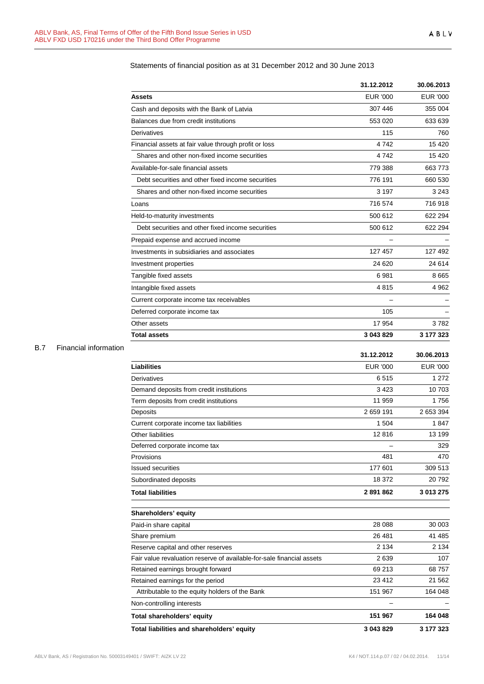| Assets<br>Cash and deposits with the Bank of Latvia<br>Balances due from credit institutions<br>Derivatives | <b>EUR '000</b><br>307 446<br>553 020<br>115<br>4742<br>4742 | <b>EUR '000</b><br>355 004<br>633 639<br>760 |
|-------------------------------------------------------------------------------------------------------------|--------------------------------------------------------------|----------------------------------------------|
|                                                                                                             |                                                              |                                              |
|                                                                                                             |                                                              |                                              |
|                                                                                                             |                                                              |                                              |
|                                                                                                             |                                                              |                                              |
| Financial assets at fair value through profit or loss                                                       |                                                              | 15 4 20                                      |
| Shares and other non-fixed income securities                                                                |                                                              | 15 4 20                                      |
| Available-for-sale financial assets                                                                         | 779 388                                                      | 663773                                       |
| Debt securities and other fixed income securities                                                           | 776 191                                                      | 660 530                                      |
| Shares and other non-fixed income securities                                                                | 3 1 9 7                                                      | 3 2 4 3                                      |
| Loans                                                                                                       | 716 574                                                      | 716918                                       |
| Held-to-maturity investments                                                                                | 500 612                                                      | 622 294                                      |
| Debt securities and other fixed income securities                                                           | 500 612                                                      | 622 294                                      |
| Prepaid expense and accrued income                                                                          |                                                              |                                              |
| Investments in subsidiaries and associates                                                                  | 127 457                                                      | 127 492                                      |
| Investment properties                                                                                       | 24 6 20                                                      | 24 6 14                                      |
| Tangible fixed assets                                                                                       | 6981                                                         | 8 6 6 5                                      |
| Intangible fixed assets                                                                                     | 4815                                                         | 4 9 6 2                                      |
| Current corporate income tax receivables                                                                    |                                                              |                                              |
| Deferred corporate income tax                                                                               | 105                                                          |                                              |
| Other assets                                                                                                | 17 954                                                       | 3782                                         |
| <b>Total assets</b>                                                                                         | 3 043 829                                                    | 3 177 323                                    |
|                                                                                                             | 31.12.2012                                                   | 30.06.2013                                   |
| <b>Liabilities</b>                                                                                          | <b>EUR '000</b>                                              | <b>EUR '000</b>                              |
| Derivatives                                                                                                 | 6515                                                         | 1 2 7 2                                      |

#### Statements of financial position as at 31 December 2012 and 30 June 2013

### B.7 Financial information

|                                                                       | 31.12.2012      | 30.06.2013      |
|-----------------------------------------------------------------------|-----------------|-----------------|
| <b>Liabilities</b>                                                    | <b>EUR '000</b> | <b>EUR '000</b> |
| Derivatives                                                           | 6515            | 1 2 7 2         |
| Demand deposits from credit institutions                              | 3423            | 10 703          |
| Term deposits from credit institutions                                | 11 959          | 1756            |
| Deposits                                                              | 2659191         | 2 653 394       |
| Current corporate income tax liabilities                              | 1 504           | 1847            |
| Other liabilities                                                     | 12816           | 13 199          |
| Deferred corporate income tax                                         |                 | 329             |
| Provisions                                                            | 481             | 470             |
| <b>Issued securities</b>                                              | 177 601         | 309 513         |
| Subordinated deposits                                                 | 18 372          | 20792           |
| <b>Total liabilities</b>                                              | 2891862         | 3 013 275       |
| Shareholders' equity                                                  |                 |                 |
| Paid-in share capital                                                 | 28 088          | 30 003          |
| Share premium                                                         | 26 481          | 41 485          |
| Reserve capital and other reserves                                    | 2 1 3 4         | 2 1 3 4         |
| Fair value revaluation reserve of available-for-sale financial assets | 2639            | 107             |
| Retained earnings brought forward                                     | 69 213          | 68757           |
| Retained earnings for the period                                      | 23 412          | 21 5 6 2        |
| Attributable to the equity holders of the Bank                        | 151 967         | 164 048         |
| Non-controlling interests                                             |                 |                 |
| Total shareholders' equity                                            | 151 967         | 164 048         |
| Total liabilities and shareholders' equity                            | 3 043 829       | 3 177 323       |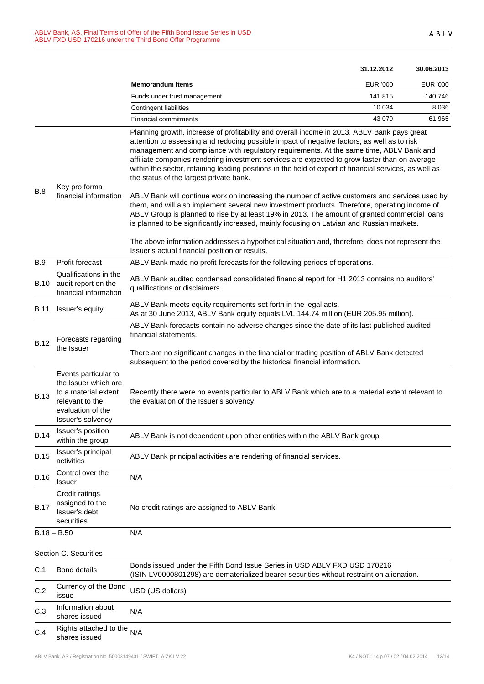|             |                                                                                                                                   |                                                                                                                                                                                                                                                                                                                                                                                                                                                                                                                                                                                                                                                                                                                                                                                                                                                                                                                                               | 31.12.2012      | 30.06.2013      |  |
|-------------|-----------------------------------------------------------------------------------------------------------------------------------|-----------------------------------------------------------------------------------------------------------------------------------------------------------------------------------------------------------------------------------------------------------------------------------------------------------------------------------------------------------------------------------------------------------------------------------------------------------------------------------------------------------------------------------------------------------------------------------------------------------------------------------------------------------------------------------------------------------------------------------------------------------------------------------------------------------------------------------------------------------------------------------------------------------------------------------------------|-----------------|-----------------|--|
|             |                                                                                                                                   | <b>Memorandum items</b>                                                                                                                                                                                                                                                                                                                                                                                                                                                                                                                                                                                                                                                                                                                                                                                                                                                                                                                       | <b>EUR '000</b> | <b>EUR '000</b> |  |
|             |                                                                                                                                   | Funds under trust management                                                                                                                                                                                                                                                                                                                                                                                                                                                                                                                                                                                                                                                                                                                                                                                                                                                                                                                  | 141 815         | 140 746         |  |
|             |                                                                                                                                   | <b>Contingent liabilities</b>                                                                                                                                                                                                                                                                                                                                                                                                                                                                                                                                                                                                                                                                                                                                                                                                                                                                                                                 | 10 0 34         | 8 0 3 6         |  |
|             |                                                                                                                                   | <b>Financial commitments</b>                                                                                                                                                                                                                                                                                                                                                                                                                                                                                                                                                                                                                                                                                                                                                                                                                                                                                                                  | 43 0 79         | 61 965          |  |
| B.8         | Key pro forma<br>financial information                                                                                            | Planning growth, increase of profitability and overall income in 2013, ABLV Bank pays great<br>attention to assessing and reducing possible impact of negative factors, as well as to risk<br>management and compliance with regulatory requirements. At the same time, ABLV Bank and<br>affiliate companies rendering investment services are expected to grow faster than on average<br>within the sector, retaining leading positions in the field of export of financial services, as well as<br>the status of the largest private bank.<br>ABLV Bank will continue work on increasing the number of active customers and services used by<br>them, and will also implement several new investment products. Therefore, operating income of<br>ABLV Group is planned to rise by at least 19% in 2013. The amount of granted commercial loans<br>is planned to be significantly increased, mainly focusing on Latvian and Russian markets. |                 |                 |  |
|             |                                                                                                                                   | The above information addresses a hypothetical situation and, therefore, does not represent the<br>Issuer's actual financial position or results.                                                                                                                                                                                                                                                                                                                                                                                                                                                                                                                                                                                                                                                                                                                                                                                             |                 |                 |  |
| <b>B.9</b>  | Profit forecast                                                                                                                   | ABLV Bank made no profit forecasts for the following periods of operations.                                                                                                                                                                                                                                                                                                                                                                                                                                                                                                                                                                                                                                                                                                                                                                                                                                                                   |                 |                 |  |
| B.10        | Qualifications in the<br>audit report on the<br>financial information                                                             | ABLV Bank audited condensed consolidated financial report for H1 2013 contains no auditors'<br>qualifications or disclaimers.                                                                                                                                                                                                                                                                                                                                                                                                                                                                                                                                                                                                                                                                                                                                                                                                                 |                 |                 |  |
| B.11        | Issuer's equity                                                                                                                   | ABLV Bank meets equity requirements set forth in the legal acts.<br>As at 30 June 2013, ABLV Bank equity equals LVL 144.74 million (EUR 205.95 million).                                                                                                                                                                                                                                                                                                                                                                                                                                                                                                                                                                                                                                                                                                                                                                                      |                 |                 |  |
| <b>B.12</b> | Forecasts regarding<br>the Issuer                                                                                                 | ABLV Bank forecasts contain no adverse changes since the date of its last published audited<br>financial statements.<br>There are no significant changes in the financial or trading position of ABLV Bank detected<br>subsequent to the period covered by the historical financial information.                                                                                                                                                                                                                                                                                                                                                                                                                                                                                                                                                                                                                                              |                 |                 |  |
| <b>B.13</b> | Events particular to<br>the Issuer which are<br>to a material extent<br>relevant to the<br>evaluation of the<br>Issuer's solvency | Recently there were no events particular to ABLV Bank which are to a material extent relevant to<br>the evaluation of the Issuer's solvency.                                                                                                                                                                                                                                                                                                                                                                                                                                                                                                                                                                                                                                                                                                                                                                                                  |                 |                 |  |
| <b>B.14</b> | Issuer's position<br>within the group                                                                                             | ABLV Bank is not dependent upon other entities within the ABLV Bank group.                                                                                                                                                                                                                                                                                                                                                                                                                                                                                                                                                                                                                                                                                                                                                                                                                                                                    |                 |                 |  |
| <b>B.15</b> | Issuer's principal<br>activities                                                                                                  | ABLV Bank principal activities are rendering of financial services.                                                                                                                                                                                                                                                                                                                                                                                                                                                                                                                                                                                                                                                                                                                                                                                                                                                                           |                 |                 |  |
| <b>B.16</b> | Control over the<br>Issuer                                                                                                        | N/A                                                                                                                                                                                                                                                                                                                                                                                                                                                                                                                                                                                                                                                                                                                                                                                                                                                                                                                                           |                 |                 |  |
| <b>B.17</b> | Credit ratings<br>assigned to the<br>Issuer's debt<br>securities                                                                  | No credit ratings are assigned to ABLV Bank.                                                                                                                                                                                                                                                                                                                                                                                                                                                                                                                                                                                                                                                                                                                                                                                                                                                                                                  |                 |                 |  |
|             | $B.18 - B.50$                                                                                                                     | N/A                                                                                                                                                                                                                                                                                                                                                                                                                                                                                                                                                                                                                                                                                                                                                                                                                                                                                                                                           |                 |                 |  |
|             | Section C. Securities                                                                                                             |                                                                                                                                                                                                                                                                                                                                                                                                                                                                                                                                                                                                                                                                                                                                                                                                                                                                                                                                               |                 |                 |  |
| C.1         | <b>Bond details</b>                                                                                                               | Bonds issued under the Fifth Bond Issue Series in USD ABLV FXD USD 170216<br>(ISIN LV0000801298) are dematerialized bearer securities without restraint on alienation.                                                                                                                                                                                                                                                                                                                                                                                                                                                                                                                                                                                                                                                                                                                                                                        |                 |                 |  |
| C.2         | Currency of the Bond<br>issue                                                                                                     | USD (US dollars)                                                                                                                                                                                                                                                                                                                                                                                                                                                                                                                                                                                                                                                                                                                                                                                                                                                                                                                              |                 |                 |  |
| C.3         | Information about<br>shares issued                                                                                                | N/A                                                                                                                                                                                                                                                                                                                                                                                                                                                                                                                                                                                                                                                                                                                                                                                                                                                                                                                                           |                 |                 |  |
| C.4         | Rights attached to the<br>shares issued                                                                                           | N/A                                                                                                                                                                                                                                                                                                                                                                                                                                                                                                                                                                                                                                                                                                                                                                                                                                                                                                                                           |                 |                 |  |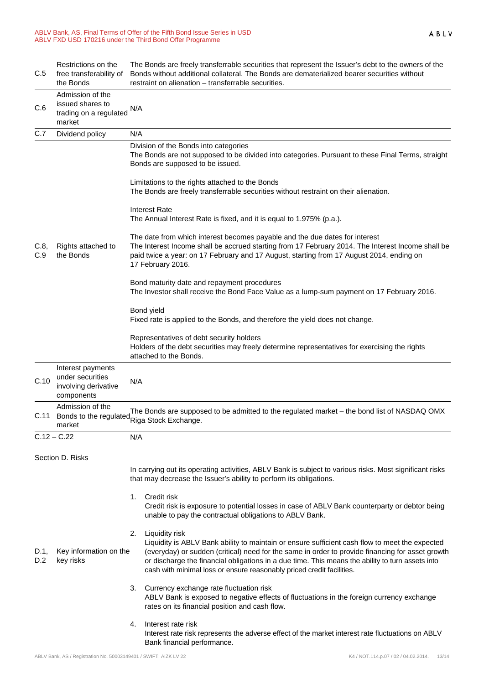| C.5         | Restrictions on the<br>free transferability of<br>the Bonds                 | The Bonds are freely transferrable securities that represent the Issuer's debt to the owners of the<br>Bonds without additional collateral. The Bonds are dematerialized bearer securities without<br>restraint on alienation – transferrable securities.                                                                                                                                               |  |  |
|-------------|-----------------------------------------------------------------------------|---------------------------------------------------------------------------------------------------------------------------------------------------------------------------------------------------------------------------------------------------------------------------------------------------------------------------------------------------------------------------------------------------------|--|--|
| C.6         | Admission of the<br>issued shares to<br>trading on a regulated<br>market    | N/A                                                                                                                                                                                                                                                                                                                                                                                                     |  |  |
| C.7         | Dividend policy                                                             | N/A                                                                                                                                                                                                                                                                                                                                                                                                     |  |  |
|             |                                                                             | Division of the Bonds into categories<br>The Bonds are not supposed to be divided into categories. Pursuant to these Final Terms, straight<br>Bonds are supposed to be issued.                                                                                                                                                                                                                          |  |  |
|             |                                                                             | Limitations to the rights attached to the Bonds<br>The Bonds are freely transferrable securities without restraint on their alienation.                                                                                                                                                                                                                                                                 |  |  |
|             |                                                                             | <b>Interest Rate</b><br>The Annual Interest Rate is fixed, and it is equal to 1.975% (p.a.).                                                                                                                                                                                                                                                                                                            |  |  |
| C.8,<br>C.9 | Rights attached to<br>the Bonds                                             | The date from which interest becomes payable and the due dates for interest<br>The Interest Income shall be accrued starting from 17 February 2014. The Interest Income shall be<br>paid twice a year: on 17 February and 17 August, starting from 17 August 2014, ending on<br>17 February 2016.                                                                                                       |  |  |
|             |                                                                             | Bond maturity date and repayment procedures<br>The Investor shall receive the Bond Face Value as a lump-sum payment on 17 February 2016.                                                                                                                                                                                                                                                                |  |  |
|             |                                                                             | Bond yield<br>Fixed rate is applied to the Bonds, and therefore the yield does not change.                                                                                                                                                                                                                                                                                                              |  |  |
|             |                                                                             | Representatives of debt security holders<br>Holders of the debt securities may freely determine representatives for exercising the rights<br>attached to the Bonds.                                                                                                                                                                                                                                     |  |  |
| C.10        | Interest payments<br>under securities<br>involving derivative<br>components | N/A                                                                                                                                                                                                                                                                                                                                                                                                     |  |  |
| C.11        | Admission of the<br>Bonds to the regulated<br>market                        | The Bonds are supposed to be admitted to the regulated market - the bond list of NASDAQ OMX<br>Riga Stock Exchange.                                                                                                                                                                                                                                                                                     |  |  |
|             | $C.12 - C.22$                                                               | N/A                                                                                                                                                                                                                                                                                                                                                                                                     |  |  |
|             | Section D. Risks                                                            |                                                                                                                                                                                                                                                                                                                                                                                                         |  |  |
|             | Key information on the<br>key risks                                         | In carrying out its operating activities, ABLV Bank is subject to various risks. Most significant risks<br>that may decrease the Issuer's ability to perform its obligations.                                                                                                                                                                                                                           |  |  |
| D.1,<br>D.2 |                                                                             | Credit risk<br>1.<br>Credit risk is exposure to potential losses in case of ABLV Bank counterparty or debtor being<br>unable to pay the contractual obligations to ABLV Bank.                                                                                                                                                                                                                           |  |  |
|             |                                                                             | Liquidity risk<br>2.<br>Liquidity is ABLV Bank ability to maintain or ensure sufficient cash flow to meet the expected<br>(everyday) or sudden (critical) need for the same in order to provide financing for asset growth<br>or discharge the financial obligations in a due time. This means the ability to turn assets into<br>cash with minimal loss or ensure reasonably priced credit facilities. |  |  |
|             |                                                                             | Currency exchange rate fluctuation risk<br>ABLV Bank is exposed to negative effects of fluctuations in the foreign currency exchange<br>rates on its financial position and cash flow.                                                                                                                                                                                                                  |  |  |
|             |                                                                             | Interest rate risk<br>4.<br>Interest rate risk represents the adverse effect of the market interest rate fluctuations on ABLV<br>Bank financial performance.                                                                                                                                                                                                                                            |  |  |